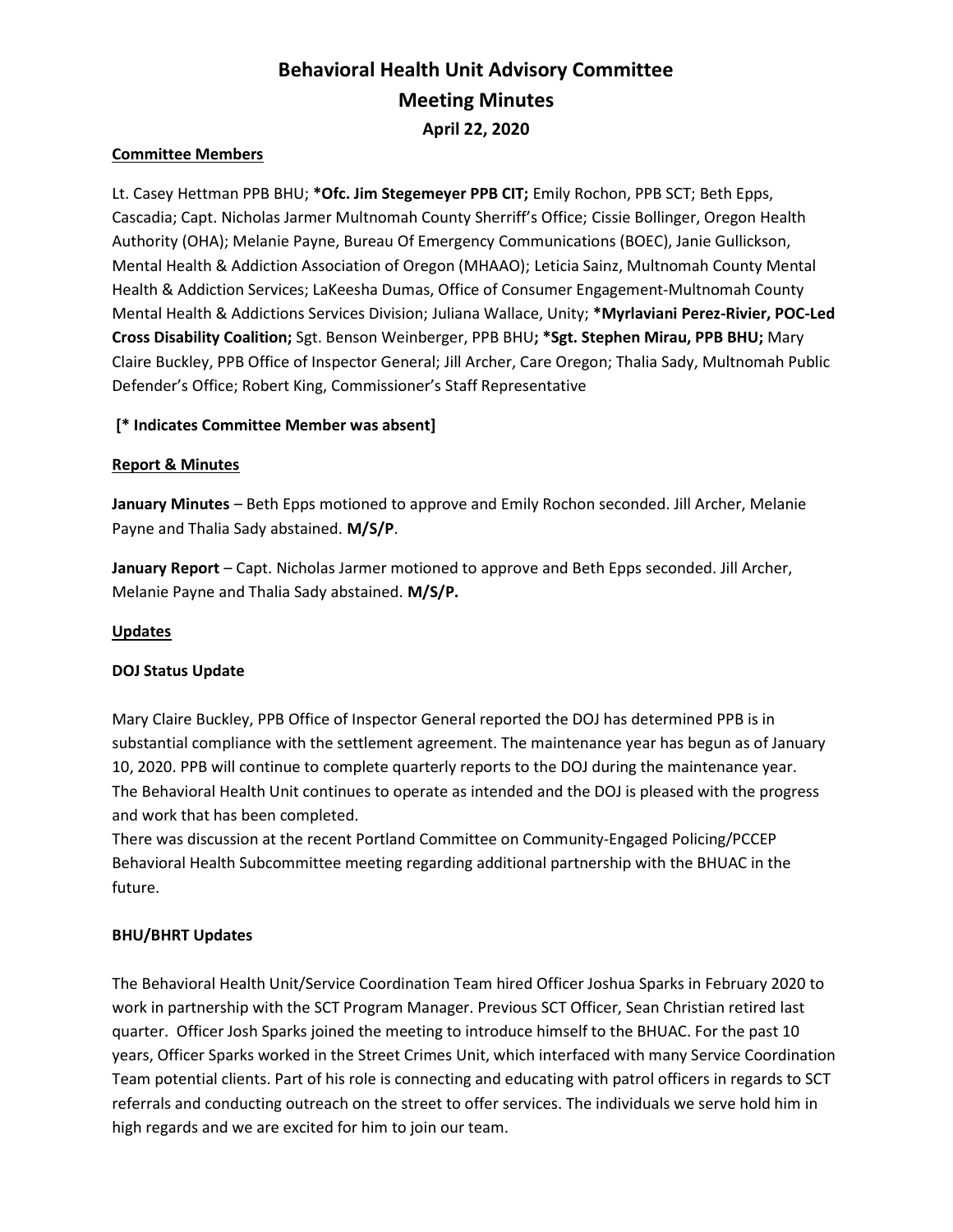# Behavioral Health Unit Advisory Committee Meeting Minutes April 22, 2020

## Committee Members

Lt. Casey Hettman PPB BHU; \* Ofc. Jim Stegemeyer PPB CIT; Emily Rochon, PPB SCT; Beth Epps, Cascadia; Capt. Nicholas Jarmer Multnomah County Sherriff's Office; Cissie Bollinger, Oregon Health Authority (OHA); Melanie Payne, Bureau Of Emergency Communications (BOEC), Janie Gullickson, Mental Health & Addiction Association of Oregon (MHAAO); Leticia Sainz, Multnomah County Mental Health & Addiction Services; LaKeesha Dumas, Office of Consumer Engagement-Multnomah County Mental Health & Addictions Services Division; Juliana Wallace, Unity; \*Myrlaviani Perez-Rivier, POC-Led Cross Disability Coalition; Sgt. Benson Weinberger, PPB BHU; \*Sgt. Stephen Mirau, PPB BHU; Mary Claire Buckley, PPB Office of Inspector General; Jill Archer, Care Oregon; Thalia Sady, Multnomah Public Defender's Office; Robert King, Commissioner's Staff Representative

# [\* Indicates Committee Member was absent]

## Report & Minutes

January Minutes - Beth Epps motioned to approve and Emily Rochon seconded. Jill Archer, Melanie Payne and Thalia Sady abstained. M/S/P.

January Report - Capt. Nicholas Jarmer motioned to approve and Beth Epps seconded. Jill Archer, Melanie Payne and Thalia Sady abstained. M/S/P.

## Updates

## DOJ Status Update

Mary Claire Buckley, PPB Office of Inspector General reported the DOJ has determined PPB is in substantial compliance with the settlement agreement. The maintenance year has begun as of January 10, 2020. PPB will continue to complete quarterly reports to the DOJ during the maintenance year. The Behavioral Health Unit continues to operate as intended and the DOJ is pleased with the progress and work that has been completed.

There was discussion at the recent Portland Committee on Community-Engaged Policing/PCCEP Behavioral Health Subcommittee meeting regarding additional partnership with the BHUAC in the future.

## BHU/BHRT Updates

The Behavioral Health Unit/Service Coordination Team hired Officer Joshua Sparks in February 2020 to work in partnership with the SCT Program Manager. Previous SCT Officer, Sean Christian retired last quarter. Officer Josh Sparks joined the meeting to introduce himself to the BHUAC. For the past 10 years, Officer Sparks worked in the Street Crimes Unit, which interfaced with many Service Coordination Team potential clients. Part of his role is connecting and educating with patrol officers in regards to SCT referrals and conducting outreach on the street to offer services. The individuals we serve hold him in high regards and we are excited for him to join our team.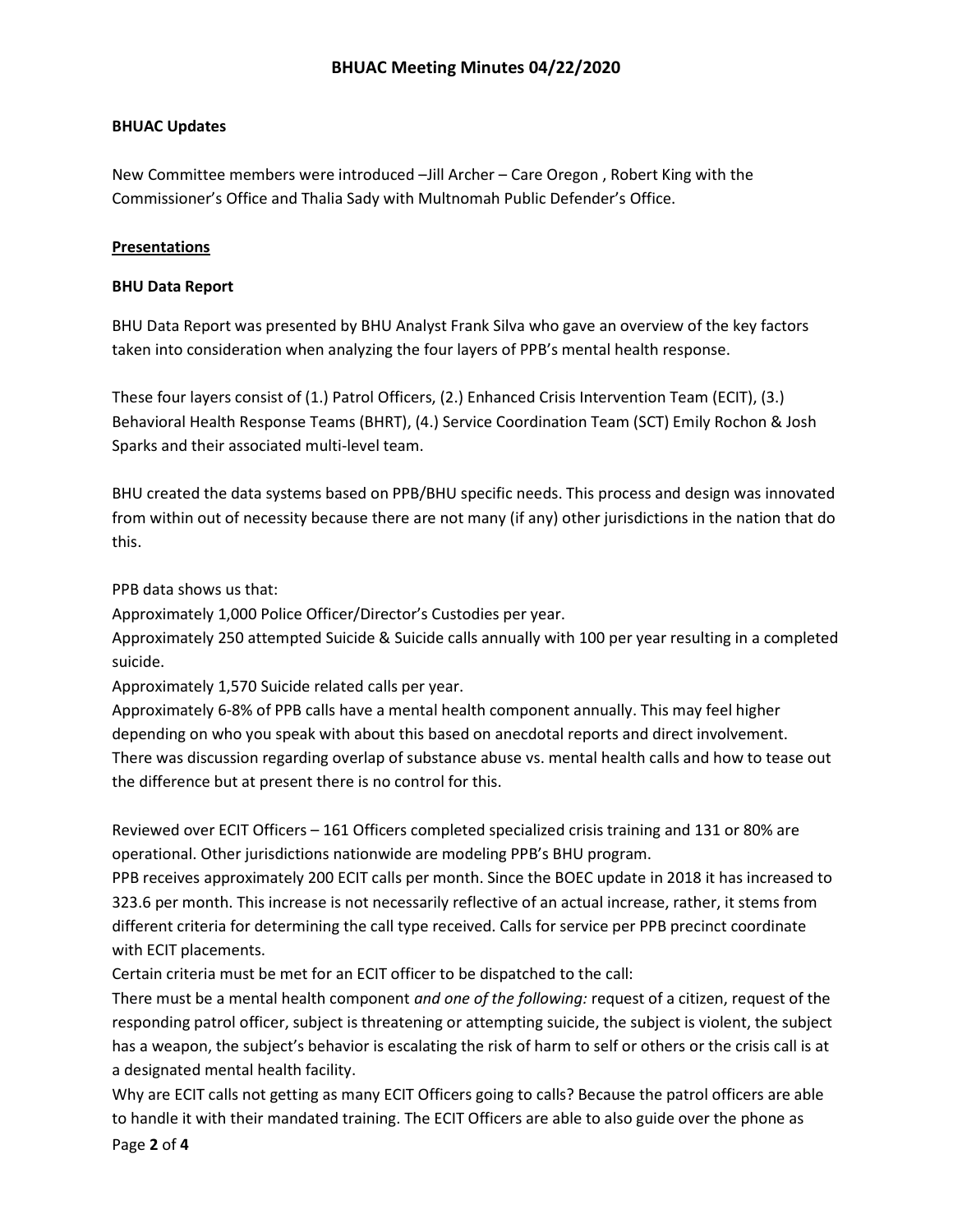# BHUAC Updates

New Committee members were introduced –Jill Archer – Care Oregon , Robert King with the Commissioner's Office and Thalia Sady with Multnomah Public Defender's Office.

# **Presentations**

# BHU Data Report

BHU Data Report was presented by BHU Analyst Frank Silva who gave an overview of the key factors taken into consideration when analyzing the four layers of PPB's mental health response.

These four layers consist of (1.) Patrol Officers, (2.) Enhanced Crisis Intervention Team (ECIT), (3.) Behavioral Health Response Teams (BHRT), (4.) Service Coordination Team (SCT) Emily Rochon & Josh Sparks and their associated multi-level team.

BHU created the data systems based on PPB/BHU specific needs. This process and design was innovated from within out of necessity because there are not many (if any) other jurisdictions in the nation that do this.

PPB data shows us that:

Approximately 1,000 Police Officer/Director's Custodies per year.

Approximately 250 attempted Suicide & Suicide calls annually with 100 per year resulting in a completed suicide.

Approximately 1,570 Suicide related calls per year.

Approximately 6-8% of PPB calls have a mental health component annually. This may feel higher depending on who you speak with about this based on anecdotal reports and direct involvement. There was discussion regarding overlap of substance abuse vs. mental health calls and how to tease out the difference but at present there is no control for this.

Reviewed over ECIT Officers – 161 Officers completed specialized crisis training and 131 or 80% are operational. Other jurisdictions nationwide are modeling PPB's BHU program.

PPB receives approximately 200 ECIT calls per month. Since the BOEC update in 2018 it has increased to 323.6 per month. This increase is not necessarily reflective of an actual increase, rather, it stems from different criteria for determining the call type received. Calls for service per PPB precinct coordinate with ECIT placements.

Certain criteria must be met for an ECIT officer to be dispatched to the call:

There must be a mental health component *and one of the following:* request of a citizen, request of the responding patrol officer, subject is threatening or attempting suicide, the subject is violent, the subject has a weapon, the subject's behavior is escalating the risk of harm to self or others or the crisis call is at a designated mental health facility.

Why are ECIT calls not getting as many ECIT Officers going to calls? Because the patrol officers are able to handle it with their mandated training. The ECIT Officers are able to also guide over the phone as

Page 2 of 4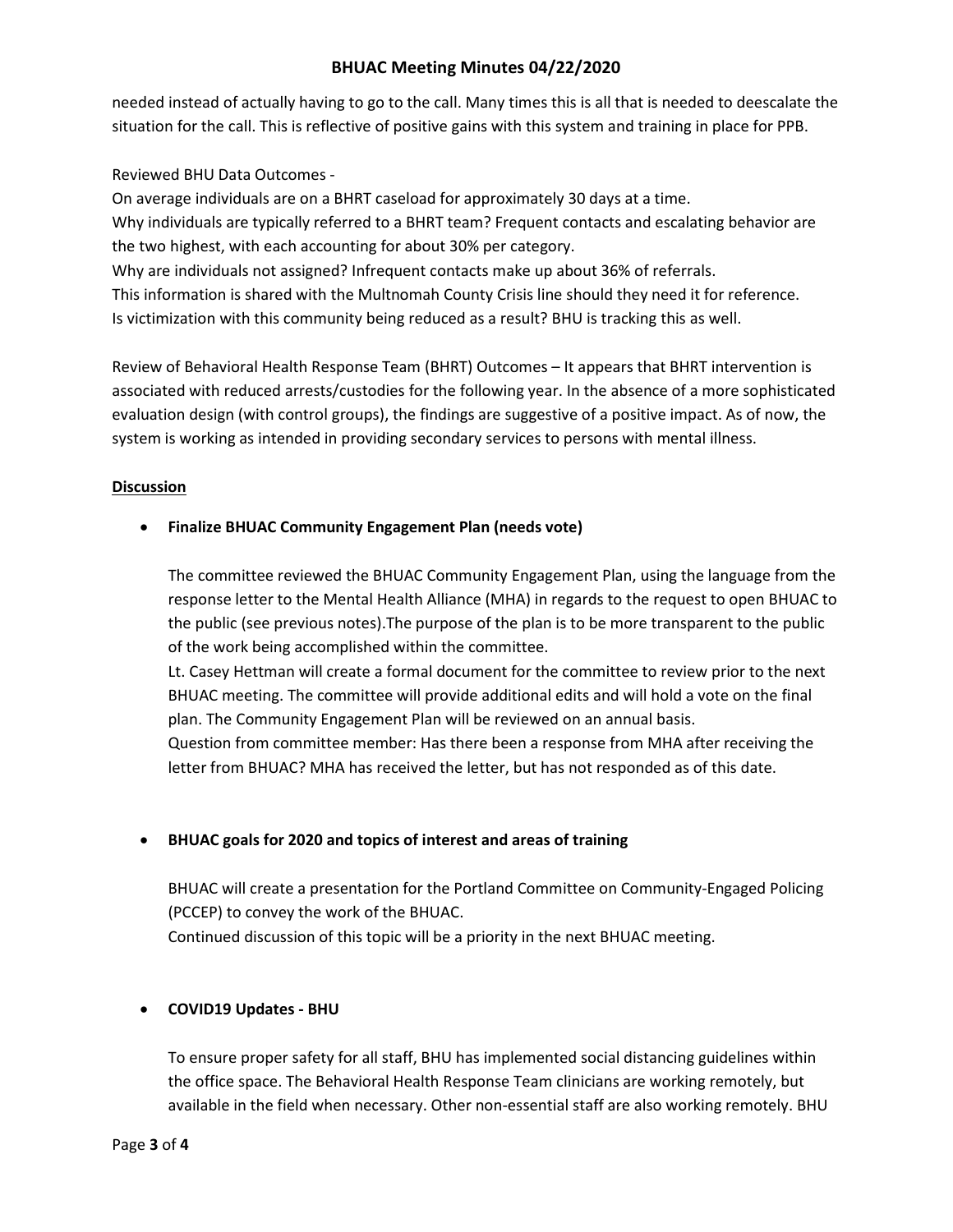# BHUAC Meeting Minutes 04/22/2020

needed instead of actually having to go to the call. Many times this is all that is needed to deescalate the situation for the call. This is reflective of positive gains with this system and training in place for PPB.

# Reviewed BHU Data Outcomes -

On average individuals are on a BHRT caseload for approximately 30 days at a time. Why individuals are typically referred to a BHRT team? Frequent contacts and escalating behavior are the two highest, with each accounting for about 30% per category. Why are individuals not assigned? Infrequent contacts make up about 36% of referrals. This information is shared with the Multnomah County Crisis line should they need it for reference. Is victimization with this community being reduced as a result? BHU is tracking this as well.

Review of Behavioral Health Response Team (BHRT) Outcomes – It appears that BHRT intervention is associated with reduced arrests/custodies for the following year. In the absence of a more sophisticated evaluation design (with control groups), the findings are suggestive of a positive impact. As of now, the system is working as intended in providing secondary services to persons with mental illness.

## **Discussion**

# Finalize BHUAC Community Engagement Plan (needs vote)

The committee reviewed the BHUAC Community Engagement Plan, using the language from the response letter to the Mental Health Alliance (MHA) in regards to the request to open BHUAC to the public (see previous notes).The purpose of the plan is to be more transparent to the public of the work being accomplished within the committee.

Lt. Casey Hettman will create a formal document for the committee to review prior to the next BHUAC meeting. The committee will provide additional edits and will hold a vote on the final plan. The Community Engagement Plan will be reviewed on an annual basis.

Question from committee member: Has there been a response from MHA after receiving the letter from BHUAC? MHA has received the letter, but has not responded as of this date.

## BHUAC goals for 2020 and topics of interest and areas of training

BHUAC will create a presentation for the Portland Committee on Community-Engaged Policing (PCCEP) to convey the work of the BHUAC.

Continued discussion of this topic will be a priority in the next BHUAC meeting.

# COVID19 Updates - BHU

To ensure proper safety for all staff, BHU has implemented social distancing guidelines within the office space. The Behavioral Health Response Team clinicians are working remotely, but available in the field when necessary. Other non-essential staff are also working remotely. BHU